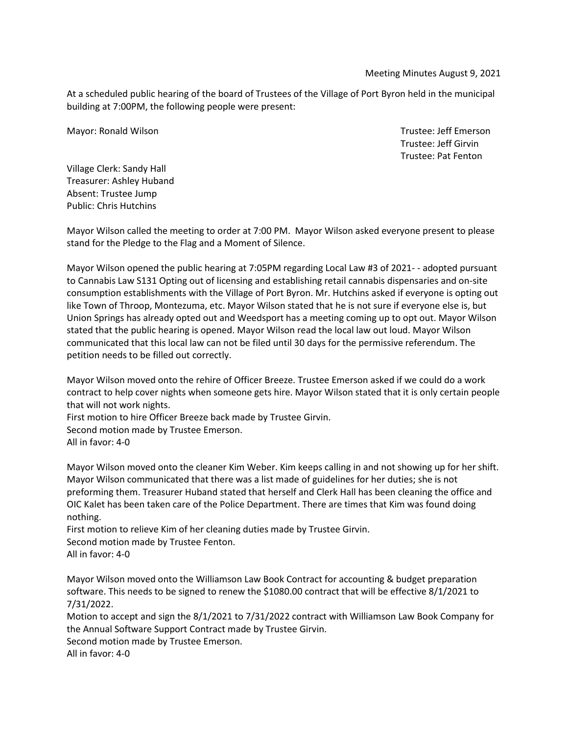Meeting Minutes August 9, 2021

At a scheduled public hearing of the board of Trustees of the Village of Port Byron held in the municipal building at 7:00PM, the following people were present:

Mayor: Ronald Wilson **Trustee: Jeff Emerson** Mayor: Ronald Wilson

Trustee: Jeff Girvin Trustee: Pat Fenton

Village Clerk: Sandy Hall Treasurer: Ashley Huband Absent: Trustee Jump Public: Chris Hutchins

Mayor Wilson called the meeting to order at 7:00 PM. Mayor Wilson asked everyone present to please stand for the Pledge to the Flag and a Moment of Silence.

Mayor Wilson opened the public hearing at 7:05PM regarding Local Law #3 of 2021- - adopted pursuant to Cannabis Law S131 Opting out of licensing and establishing retail cannabis dispensaries and on-site consumption establishments with the Village of Port Byron. Mr. Hutchins asked if everyone is opting out like Town of Throop, Montezuma, etc. Mayor Wilson stated that he is not sure if everyone else is, but Union Springs has already opted out and Weedsport has a meeting coming up to opt out. Mayor Wilson stated that the public hearing is opened. Mayor Wilson read the local law out loud. Mayor Wilson communicated that this local law can not be filed until 30 days for the permissive referendum. The petition needs to be filled out correctly.

Mayor Wilson moved onto the rehire of Officer Breeze. Trustee Emerson asked if we could do a work contract to help cover nights when someone gets hire. Mayor Wilson stated that it is only certain people that will not work nights.

First motion to hire Officer Breeze back made by Trustee Girvin.

Second motion made by Trustee Emerson. All in favor: 4-0

Mayor Wilson moved onto the cleaner Kim Weber. Kim keeps calling in and not showing up for her shift. Mayor Wilson communicated that there was a list made of guidelines for her duties; she is not preforming them. Treasurer Huband stated that herself and Clerk Hall has been cleaning the office and OIC Kalet has been taken care of the Police Department. There are times that Kim was found doing nothing.

First motion to relieve Kim of her cleaning duties made by Trustee Girvin. Second motion made by Trustee Fenton. All in favor: 4-0

Mayor Wilson moved onto the Williamson Law Book Contract for accounting & budget preparation software. This needs to be signed to renew the \$1080.00 contract that will be effective 8/1/2021 to 7/31/2022.

Motion to accept and sign the 8/1/2021 to 7/31/2022 contract with Williamson Law Book Company for the Annual Software Support Contract made by Trustee Girvin. Second motion made by Trustee Emerson.

All in favor: 4-0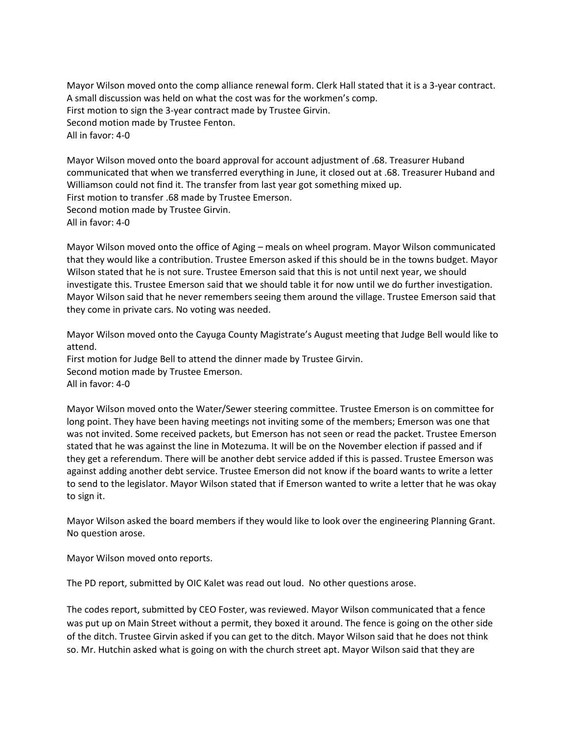Mayor Wilson moved onto the comp alliance renewal form. Clerk Hall stated that it is a 3-year contract. A small discussion was held on what the cost was for the workmen's comp. First motion to sign the 3-year contract made by Trustee Girvin. Second motion made by Trustee Fenton. All in favor: 4-0

Mayor Wilson moved onto the board approval for account adjustment of .68. Treasurer Huband communicated that when we transferred everything in June, it closed out at .68. Treasurer Huband and Williamson could not find it. The transfer from last year got something mixed up. First motion to transfer .68 made by Trustee Emerson. Second motion made by Trustee Girvin. All in favor: 4-0

Mayor Wilson moved onto the office of Aging – meals on wheel program. Mayor Wilson communicated that they would like a contribution. Trustee Emerson asked if this should be in the towns budget. Mayor Wilson stated that he is not sure. Trustee Emerson said that this is not until next year, we should investigate this. Trustee Emerson said that we should table it for now until we do further investigation. Mayor Wilson said that he never remembers seeing them around the village. Trustee Emerson said that they come in private cars. No voting was needed.

Mayor Wilson moved onto the Cayuga County Magistrate's August meeting that Judge Bell would like to attend. First motion for Judge Bell to attend the dinner made by Trustee Girvin. Second motion made by Trustee Emerson. All in favor: 4-0

Mayor Wilson moved onto the Water/Sewer steering committee. Trustee Emerson is on committee for long point. They have been having meetings not inviting some of the members; Emerson was one that was not invited. Some received packets, but Emerson has not seen or read the packet. Trustee Emerson stated that he was against the line in Motezuma. It will be on the November election if passed and if they get a referendum. There will be another debt service added if this is passed. Trustee Emerson was against adding another debt service. Trustee Emerson did not know if the board wants to write a letter to send to the legislator. Mayor Wilson stated that if Emerson wanted to write a letter that he was okay to sign it.

Mayor Wilson asked the board members if they would like to look over the engineering Planning Grant. No question arose.

Mayor Wilson moved onto reports.

The PD report, submitted by OIC Kalet was read out loud. No other questions arose.

The codes report, submitted by CEO Foster, was reviewed. Mayor Wilson communicated that a fence was put up on Main Street without a permit, they boxed it around. The fence is going on the other side of the ditch. Trustee Girvin asked if you can get to the ditch. Mayor Wilson said that he does not think so. Mr. Hutchin asked what is going on with the church street apt. Mayor Wilson said that they are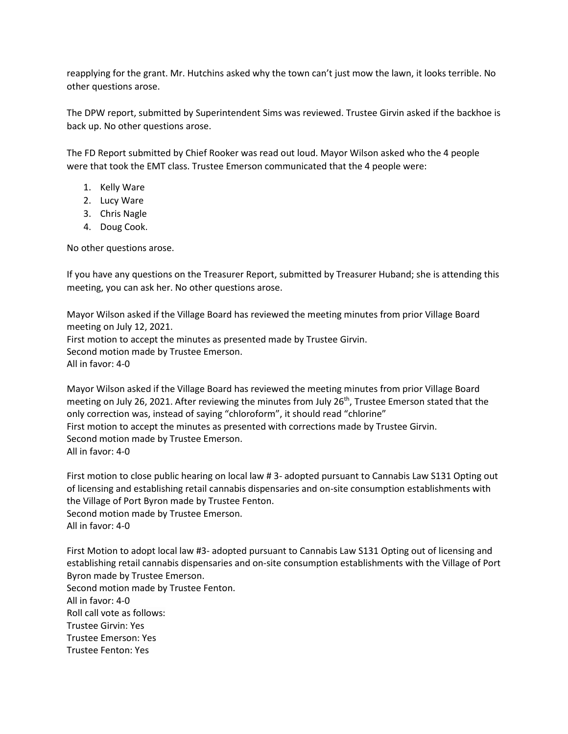reapplying for the grant. Mr. Hutchins asked why the town can't just mow the lawn, it looks terrible. No other questions arose.

The DPW report, submitted by Superintendent Sims was reviewed. Trustee Girvin asked if the backhoe is back up. No other questions arose.

The FD Report submitted by Chief Rooker was read out loud. Mayor Wilson asked who the 4 people were that took the EMT class. Trustee Emerson communicated that the 4 people were:

- 1. Kelly Ware
- 2. Lucy Ware
- 3. Chris Nagle
- 4. Doug Cook.

No other questions arose.

If you have any questions on the Treasurer Report, submitted by Treasurer Huband; she is attending this meeting, you can ask her. No other questions arose.

Mayor Wilson asked if the Village Board has reviewed the meeting minutes from prior Village Board meeting on July 12, 2021. First motion to accept the minutes as presented made by Trustee Girvin. Second motion made by Trustee Emerson. All in favor: 4-0

Mayor Wilson asked if the Village Board has reviewed the meeting minutes from prior Village Board meeting on July 26, 2021. After reviewing the minutes from July 26<sup>th</sup>, Trustee Emerson stated that the only correction was, instead of saying "chloroform", it should read "chlorine" First motion to accept the minutes as presented with corrections made by Trustee Girvin. Second motion made by Trustee Emerson. All in favor: 4-0

First motion to close public hearing on local law # 3- adopted pursuant to Cannabis Law S131 Opting out of licensing and establishing retail cannabis dispensaries and on-site consumption establishments with the Village of Port Byron made by Trustee Fenton. Second motion made by Trustee Emerson. All in favor: 4-0

First Motion to adopt local law #3- adopted pursuant to Cannabis Law S131 Opting out of licensing and establishing retail cannabis dispensaries and on-site consumption establishments with the Village of Port Byron made by Trustee Emerson. Second motion made by Trustee Fenton. All in favor: 4-0 Roll call vote as follows: Trustee Girvin: Yes Trustee Emerson: Yes Trustee Fenton: Yes